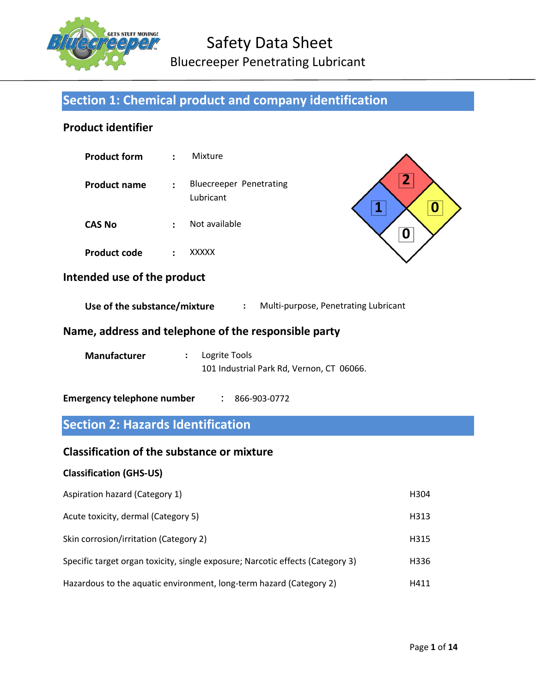

# Safety Data Sheet Bluecreeper Penetrating Lubricant

# Section 1: Chemical product and company identification

# Product identifier

| <b>Product form</b> | $\mathcal{L}$  | Mixture                              |
|---------------------|----------------|--------------------------------------|
| <b>Product name</b> | $\mathbb{R}^n$ | Bluecreeper Penetrating<br>Lubricant |
| <b>CAS No</b>       | $\bullet$      | Not available                        |

Product code : XXXXX



# Intended use of the product

Use of the substance/mixture : Multi-purpose, Penetrating Lubricant

### Name, address and telephone of the responsible party

| Manufacturer | $:$ Logrite Tools                         |  |
|--------------|-------------------------------------------|--|
|              | 101 Industrial Park Rd, Vernon, CT 06066. |  |

Emergency telephone number : 866-903-0772

# Section 2: Hazards Identification

#### Classification of the substance or mixture

#### Classification (GHS-US)

| Aspiration hazard (Category 1)                                                 | H304 |
|--------------------------------------------------------------------------------|------|
| Acute toxicity, dermal (Category 5)                                            | H313 |
| Skin corrosion/irritation (Category 2)                                         | H315 |
| Specific target organ toxicity, single exposure; Narcotic effects (Category 3) | H336 |
| Hazardous to the aquatic environment, long-term hazard (Category 2)            | H411 |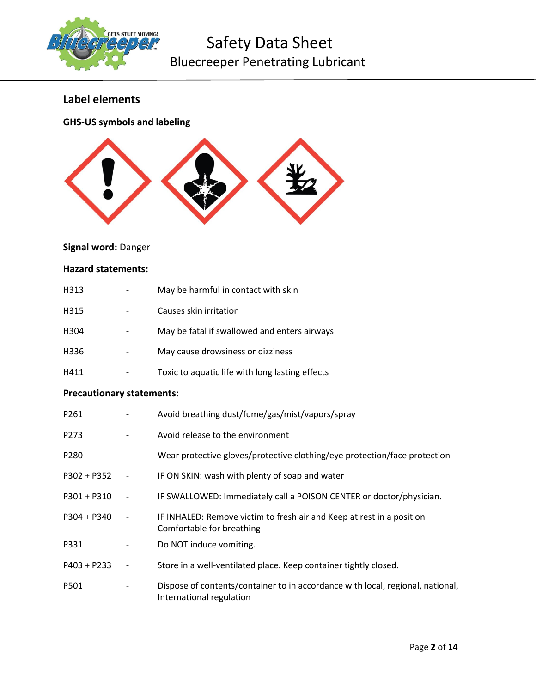

# Safety Data Sheet Bluecreeper Penetrating Lubricant

# Label elements

GHS-US symbols and labeling



# Signal word: Danger

#### Hazard statements:

| H313                             |                          | May be harmful in contact with skin                                                                        |
|----------------------------------|--------------------------|------------------------------------------------------------------------------------------------------------|
| H315                             |                          | Causes skin irritation                                                                                     |
| H304                             | $\overline{\phantom{a}}$ | May be fatal if swallowed and enters airways                                                               |
| H336                             |                          | May cause drowsiness or dizziness                                                                          |
| H411                             |                          | Toxic to aquatic life with long lasting effects                                                            |
| <b>Precautionary statements:</b> |                          |                                                                                                            |
| P261                             | $\overline{\phantom{a}}$ | Avoid breathing dust/fume/gas/mist/vapors/spray                                                            |
| P273                             |                          | Avoid release to the environment                                                                           |
| P280                             | $\overline{\phantom{a}}$ | Wear protective gloves/protective clothing/eye protection/face protection                                  |
| $P302 + P352$                    | $\overline{\phantom{a}}$ | IF ON SKIN: wash with plenty of soap and water                                                             |
| $P301 + P310$                    | $\overline{\phantom{a}}$ | IF SWALLOWED: Immediately call a POISON CENTER or doctor/physician.                                        |
| $P304 + P340$                    | $\overline{\phantom{a}}$ | IF INHALED: Remove victim to fresh air and Keep at rest in a position<br>Comfortable for breathing         |
| P331                             |                          | Do NOT induce vomiting.                                                                                    |
| $P403 + P233$                    | $\overline{\phantom{a}}$ | Store in a well-ventilated place. Keep container tightly closed.                                           |
| P501                             |                          | Dispose of contents/container to in accordance with local, regional, national,<br>International regulation |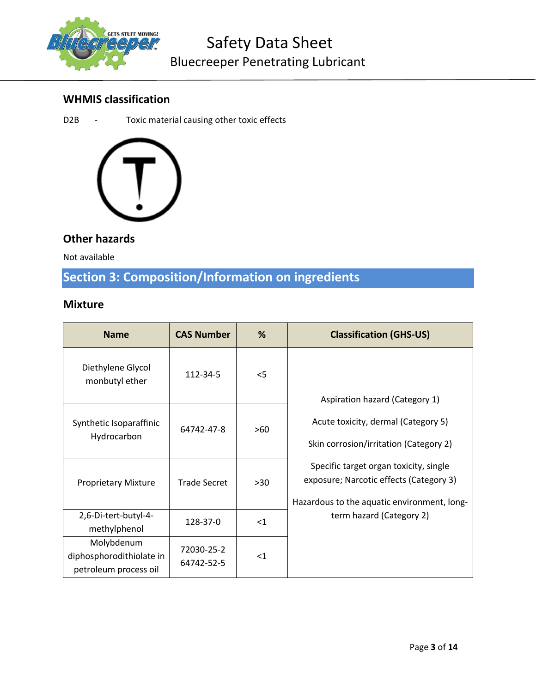

# WHMIS classification

D2B - Toxic material causing other toxic effects



# Other hazards

Not available

# Section 3: Composition/Information on ingredients

# Mixture

| <b>Name</b>                                                     | <b>CAS Number</b>        | %     | <b>Classification (GHS-US)</b>                                                                                                   |
|-----------------------------------------------------------------|--------------------------|-------|----------------------------------------------------------------------------------------------------------------------------------|
| Diethylene Glycol<br>monbutyl ether                             | 112-34-5                 | $<$ 5 | Aspiration hazard (Category 1)                                                                                                   |
| Synthetic Isoparaffinic<br>Hydrocarbon                          | 64742-47-8               | >60   | Acute toxicity, dermal (Category 5)<br>Skin corrosion/irritation (Category 2)                                                    |
| <b>Proprietary Mixture</b>                                      | <b>Trade Secret</b>      | >30   | Specific target organ toxicity, single<br>exposure; Narcotic effects (Category 3)<br>Hazardous to the aquatic environment, long- |
| 2,6-Di-tert-butyl-4-<br>methylphenol                            | 128-37-0                 | $<$ 1 | term hazard (Category 2)                                                                                                         |
| Molybdenum<br>diphosphorodithiolate in<br>petroleum process oil | 72030-25-2<br>64742-52-5 | $<$ 1 |                                                                                                                                  |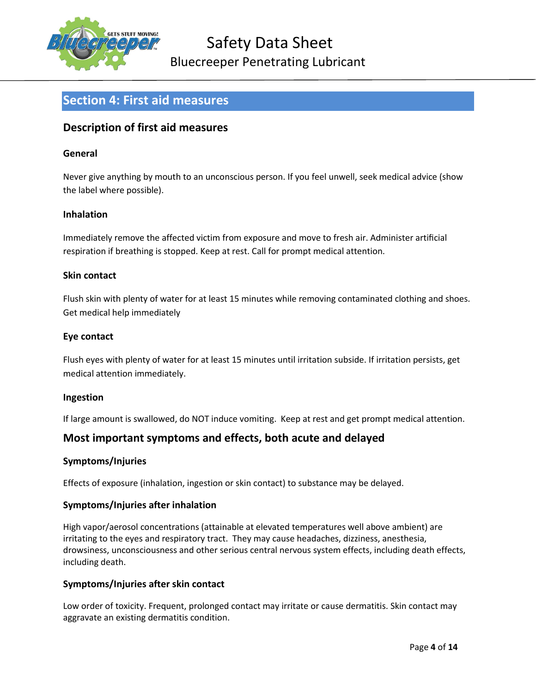

# Section 4: First aid measures

### Description of first aid measures

#### General

Never give anything by mouth to an unconscious person. If you feel unwell, seek medical advice (show the label where possible).

#### Inhalation

Immediately remove the affected victim from exposure and move to fresh air. Administer artificial respiration if breathing is stopped. Keep at rest. Call for prompt medical attention.

#### Skin contact

Flush skin with plenty of water for at least 15 minutes while removing contaminated clothing and shoes. Get medical help immediately

#### Eye contact

Flush eyes with plenty of water for at least 15 minutes until irritation subside. If irritation persists, get medical attention immediately.

#### Ingestion

If large amount is swallowed, do NOT induce vomiting. Keep at rest and get prompt medical attention.

# Most important symptoms and effects, both acute and delayed

#### Symptoms/Injuries

Effects of exposure (inhalation, ingestion or skin contact) to substance may be delayed.

#### Symptoms/Injuries after inhalation

High vapor/aerosol concentrations (attainable at elevated temperatures well above ambient) are irritating to the eyes and respiratory tract. They may cause headaches, dizziness, anesthesia, drowsiness, unconsciousness and other serious central nervous system effects, including death effects, including death.

#### Symptoms/Injuries after skin contact

Low order of toxicity. Frequent, prolonged contact may irritate or cause dermatitis. Skin contact may aggravate an existing dermatitis condition.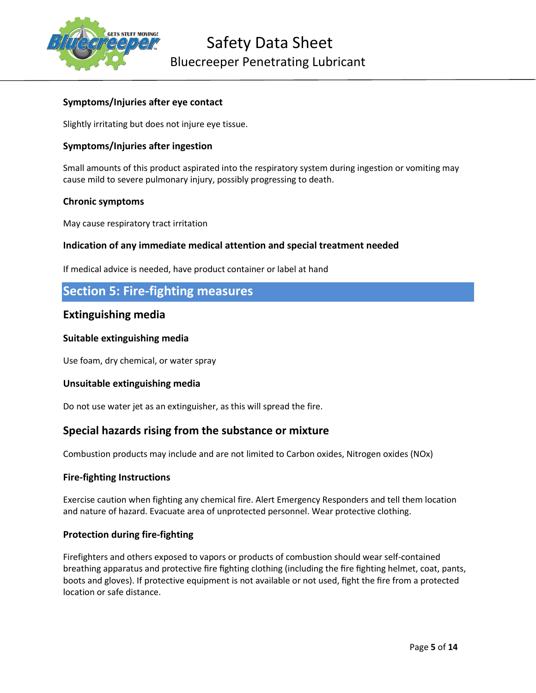

#### Symptoms/Injuries after eye contact

Slightly irritating but does not injure eye tissue.

#### Symptoms/Injuries after ingestion

Small amounts of this product aspirated into the respiratory system during ingestion or vomiting may cause mild to severe pulmonary injury, possibly progressing to death.

#### Chronic symptoms

May cause respiratory tract irritation

#### Indication of any immediate medical attention and special treatment needed

If medical advice is needed, have product container or label at hand

# Section 5: Fire-fighting measures

#### Extinguishing media

#### Suitable extinguishing media

Use foam, dry chemical, or water spray

#### Unsuitable extinguishing media

Do not use water jet as an extinguisher, as this will spread the fire.

#### Special hazards rising from the substance or mixture

Combustion products may include and are not limited to Carbon oxides, Nitrogen oxides (NOx)

#### Fire-fighting Instructions

Exercise caution when fighting any chemical fire. Alert Emergency Responders and tell them location and nature of hazard. Evacuate area of unprotected personnel. Wear protective clothing.

#### Protection during fire-fighting

Firefighters and others exposed to vapors or products of combustion should wear self-contained breathing apparatus and protective fire fighting clothing (including the fire fighting helmet, coat, pants, boots and gloves). If protective equipment is not available or not used, fight the fire from a protected location or safe distance.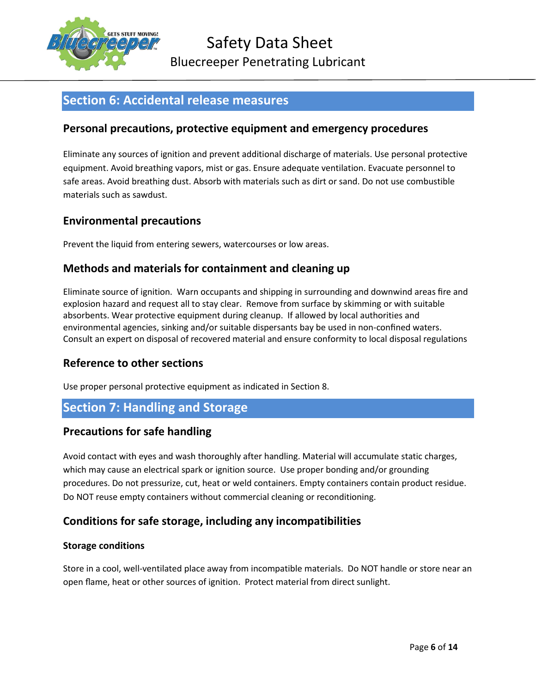

# Section 6: Accidental release measures

# Personal precautions, protective equipment and emergency procedures

Eliminate any sources of ignition and prevent additional discharge of materials. Use personal protective equipment. Avoid breathing vapors, mist or gas. Ensure adequate ventilation. Evacuate personnel to safe areas. Avoid breathing dust. Absorb with materials such as dirt or sand. Do not use combustible materials such as sawdust.

### Environmental precautions

Prevent the liquid from entering sewers, watercourses or low areas.

# Methods and materials for containment and cleaning up

Eliminate source of ignition. Warn occupants and shipping in surrounding and downwind areas fire and explosion hazard and request all to stay clear. Remove from surface by skimming or with suitable absorbents. Wear protective equipment during cleanup. If allowed by local authorities and environmental agencies, sinking and/or suitable dispersants bay be used in non-confined waters. Consult an expert on disposal of recovered material and ensure conformity to local disposal regulations

#### Reference to other sections

Use proper personal protective equipment as indicated in Section 8.

# Section 7: Handling and Storage

#### Precautions for safe handling

Avoid contact with eyes and wash thoroughly after handling. Material will accumulate static charges, which may cause an electrical spark or ignition source. Use proper bonding and/or grounding procedures. Do not pressurize, cut, heat or weld containers. Empty containers contain product residue. Do NOT reuse empty containers without commercial cleaning or reconditioning.

# Conditions for safe storage, including any incompatibilities

#### Storage conditions

Store in a cool, well-ventilated place away from incompatible materials. Do NOT handle or store near an open flame, heat or other sources of ignition. Protect material from direct sunlight.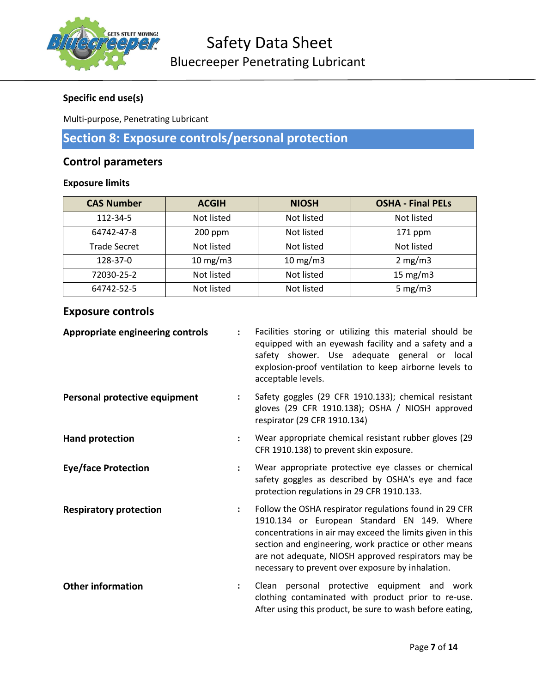

# Specific end use(s)

Multi-purpose, Penetrating Lubricant

# Section 8: Exposure controls/personal protection

# Control parameters

#### Exposure limits

| <b>CAS Number</b>   | <b>ACGIH</b>      | <b>NIOSH</b>      | <b>OSHA - Final PELs</b> |
|---------------------|-------------------|-------------------|--------------------------|
| 112-34-5            | Not listed        | Not listed        | Not listed               |
| 64742-47-8          | $200$ ppm         | Not listed        | $171$ ppm                |
| <b>Trade Secret</b> | Not listed        | Not listed        | Not listed               |
| 128-37-0            | $10 \text{ mg/m}$ | $10 \text{ mg/m}$ | 2 mg/m3                  |
| 72030-25-2          | Not listed        | Not listed        | 15 $mg/m3$               |
| 64742-52-5          | Not listed        | Not listed        | 5 mg/m $3$               |

# Exposure controls

| <b>Appropriate engineering controls</b> |                      | Facilities storing or utilizing this material should be<br>equipped with an eyewash facility and a safety and a<br>safety shower. Use adequate general or local<br>explosion-proof ventilation to keep airborne levels to<br>acceptable levels.                                                                                         |
|-----------------------------------------|----------------------|-----------------------------------------------------------------------------------------------------------------------------------------------------------------------------------------------------------------------------------------------------------------------------------------------------------------------------------------|
| Personal protective equipment           | $\ddot{\phantom{a}}$ | Safety goggles (29 CFR 1910.133); chemical resistant<br>gloves (29 CFR 1910.138); OSHA / NIOSH approved<br>respirator (29 CFR 1910.134)                                                                                                                                                                                                 |
| <b>Hand protection</b>                  |                      | Wear appropriate chemical resistant rubber gloves (29<br>CFR 1910.138) to prevent skin exposure.                                                                                                                                                                                                                                        |
| <b>Eye/face Protection</b>              |                      | Wear appropriate protective eye classes or chemical<br>safety goggles as described by OSHA's eye and face<br>protection regulations in 29 CFR 1910.133.                                                                                                                                                                                 |
| <b>Respiratory protection</b>           |                      | Follow the OSHA respirator regulations found in 29 CFR<br>1910.134 or European Standard EN 149. Where<br>concentrations in air may exceed the limits given in this<br>section and engineering, work practice or other means<br>are not adequate, NIOSH approved respirators may be<br>necessary to prevent over exposure by inhalation. |
| <b>Other information</b>                | $\ddot{\phantom{a}}$ | Clean personal protective equipment and work<br>clothing contaminated with product prior to re-use.<br>After using this product, be sure to wash before eating,                                                                                                                                                                         |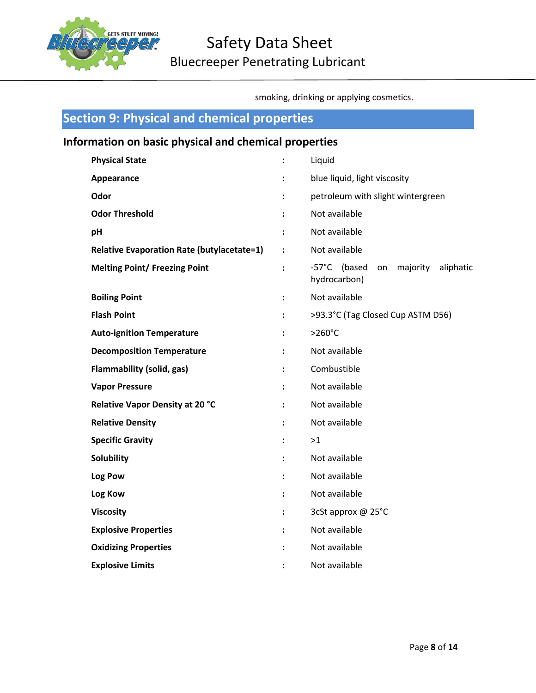

smoking, drinking or applying cosmetics.

| <b>Section 9: Physical and chemical properties</b>    |                      |                                                             |  |  |
|-------------------------------------------------------|----------------------|-------------------------------------------------------------|--|--|
| Information on basic physical and chemical properties |                      |                                                             |  |  |
| <b>Physical State</b>                                 | $\ddot{\cdot}$       | Liquid                                                      |  |  |
| Appearance                                            | $\ddot{\phantom{a}}$ | blue liquid, light viscosity                                |  |  |
| Odor                                                  |                      | petroleum with slight wintergreen                           |  |  |
| <b>Odor Threshold</b>                                 |                      | Not available                                               |  |  |
| pH                                                    |                      | Not available                                               |  |  |
| <b>Relative Evaporation Rate (butylacetate=1)</b>     | $\ddot{\phantom{a}}$ | Not available                                               |  |  |
| <b>Melting Point/ Freezing Point</b>                  | $\ddot{\phantom{a}}$ | -57°C (based<br>majority<br>aliphatic<br>on<br>hydrocarbon) |  |  |
| <b>Boiling Point</b>                                  |                      | Not available                                               |  |  |
| <b>Flash Point</b>                                    | :                    | >93.3°C (Tag Closed Cup ASTM D56)                           |  |  |
| <b>Auto-ignition Temperature</b>                      |                      | $>260^{\circ}$ C                                            |  |  |
| <b>Decomposition Temperature</b>                      |                      | Not available                                               |  |  |
| <b>Flammability (solid, gas)</b>                      |                      | Combustible                                                 |  |  |
| <b>Vapor Pressure</b>                                 |                      | Not available                                               |  |  |
| Relative Vapor Density at 20 °C                       | ÷                    | Not available                                               |  |  |
| <b>Relative Density</b>                               |                      | Not available                                               |  |  |
| <b>Specific Gravity</b>                               | $\ddot{\phantom{a}}$ | >1                                                          |  |  |
| Solubility                                            |                      | Not available                                               |  |  |
| Log Pow                                               |                      | Not available                                               |  |  |
| Log Kow                                               | :                    | Not available                                               |  |  |
| <b>Viscosity</b>                                      |                      | 3cSt approx @ 25°C                                          |  |  |
| <b>Explosive Properties</b>                           | :                    | Not available                                               |  |  |
| <b>Oxidizing Properties</b>                           |                      | Not available                                               |  |  |
| <b>Explosive Limits</b>                               |                      | Not available                                               |  |  |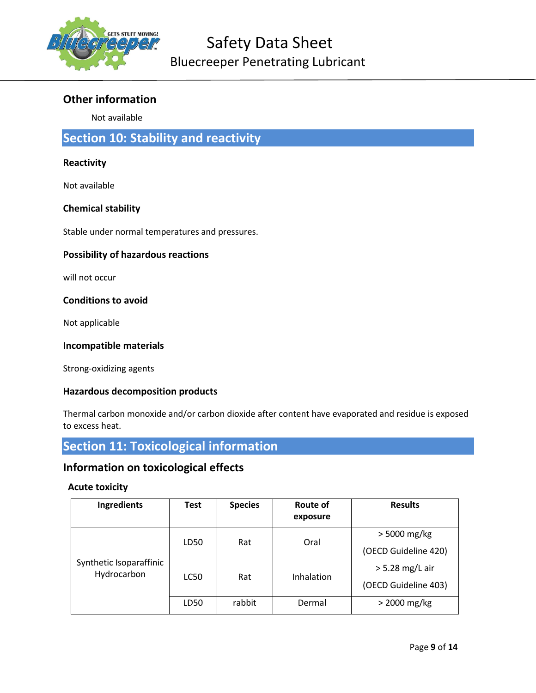

# Other information

Not available

# Section 10: Stability and reactivity

#### **Reactivity**

Not available

#### Chemical stability

Stable under normal temperatures and pressures.

#### Possibility of hazardous reactions

will not occur

#### Conditions to avoid

Not applicable

#### Incompatible materials

Strong-oxidizing agents

#### Hazardous decomposition products

Thermal carbon monoxide and/or carbon dioxide after content have evaporated and residue is exposed to excess heat.

# Section 11: Toxicological information

### Information on toxicological effects

#### Acute toxicity

| Ingredients                            | Test | <b>Species</b> | Route of<br>exposure | <b>Results</b>                            |
|----------------------------------------|------|----------------|----------------------|-------------------------------------------|
|                                        | LD50 | Rat            | Oral                 | > 5000 mg/kg<br>(OECD Guideline 420)      |
| Synthetic Isoparaffinic<br>Hydrocarbon | LC50 | Rat            | Inhalation           | $>$ 5.28 mg/L air<br>(OECD Guideline 403) |
|                                        | LD50 | rabbit         | Dermal               | $>$ 2000 mg/kg                            |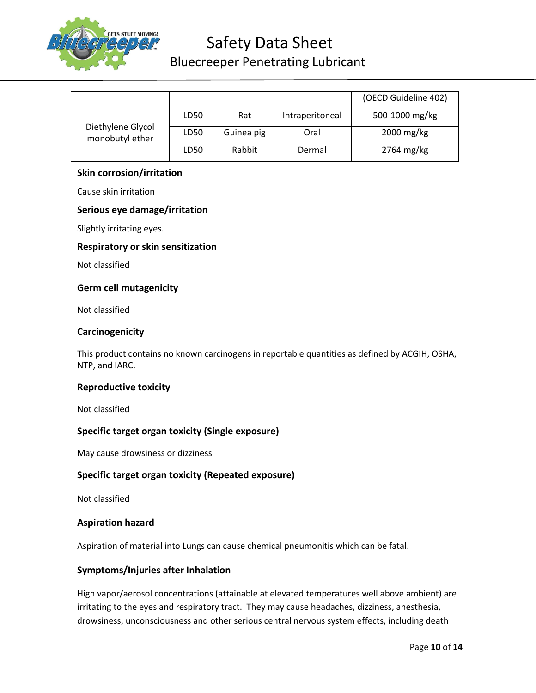

# Safety Data Sheet

# Bluecreeper Penetrating Lubricant

|                                      |      |            |                 | (OECD Guideline 402) |
|--------------------------------------|------|------------|-----------------|----------------------|
|                                      |      |            |                 |                      |
|                                      | LD50 | Rat        | Intraperitoneal | 500-1000 mg/kg       |
| Diethylene Glycol<br>monobutyl ether | LD50 | Guinea pig | Oral            | 2000 mg/kg           |
|                                      | LD50 | Rabbit     | Dermal          | $2764$ mg/kg         |

#### Skin corrosion/irritation

Cause skin irritation

#### Serious eye damage/irritation

Slightly irritating eyes.

#### Respiratory or skin sensitization

Not classified

#### Germ cell mutagenicity

Not classified

#### **Carcinogenicity**

This product contains no known carcinogens in reportable quantities as defined by ACGIH, OSHA, NTP, and IARC.

#### Reproductive toxicity

Not classified

#### Specific target organ toxicity (Single exposure)

May cause drowsiness or dizziness

#### Specific target organ toxicity (Repeated exposure)

Not classified

#### Aspiration hazard

Aspiration of material into Lungs can cause chemical pneumonitis which can be fatal.

#### Symptoms/Injuries after Inhalation

High vapor/aerosol concentrations (attainable at elevated temperatures well above ambient) are irritating to the eyes and respiratory tract. They may cause headaches, dizziness, anesthesia, drowsiness, unconsciousness and other serious central nervous system effects, including death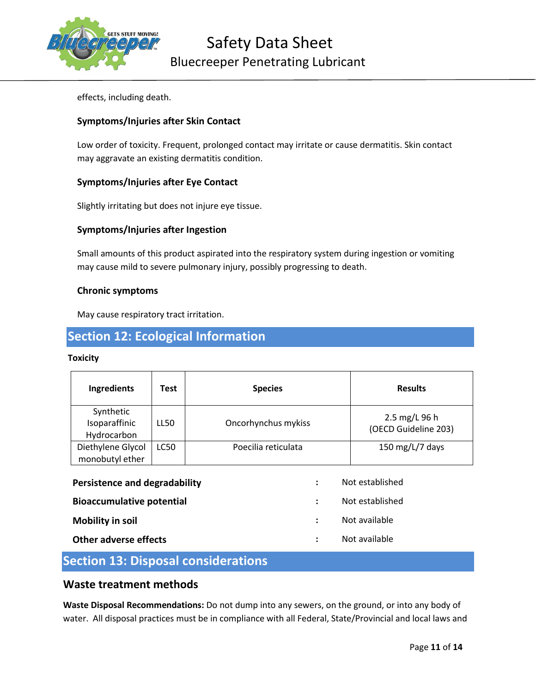

effects, including death.

#### Symptoms/Injuries after Skin Contact

Low order of toxicity. Frequent, prolonged contact may irritate or cause dermatitis. Skin contact may aggravate an existing dermatitis condition.

#### Symptoms/Injuries after Eye Contact

Slightly irritating but does not injure eye tissue.

#### Symptoms/Injuries after Ingestion

Small amounts of this product aspirated into the respiratory system during ingestion or vomiting may cause mild to severe pulmonary injury, possibly progressing to death.

#### Chronic symptoms

May cause respiratory tract irritation.

# Section 12: Ecological Information

#### **Toxicity**

| Ingredients                                      | Test        | <b>Species</b>                               | <b>Results</b>                        |
|--------------------------------------------------|-------------|----------------------------------------------|---------------------------------------|
| Synthetic<br>Isoparaffinic<br>Hydrocarbon        | LL50        | Oncorhynchus mykiss                          | 2.5 mg/L 96 h<br>(OECD Guideline 203) |
| Diethylene Glycol<br>monobutyl ether             | <b>LC50</b> | Poecilia reticulata                          | 150 mg/L/7 days                       |
| Persistence and degradability                    |             | ÷                                            | Not established<br>Not established    |
| <b>Bioaccumulative potential</b>                 |             | $\ddot{\phantom{a}}$<br>$\ddot{\phantom{a}}$ | Not available                         |
| <b>Mobility in soil</b><br>Other adverse effects |             | ÷                                            | Not available                         |

# Section 13: Disposal considerations

#### Waste treatment methods

Waste Disposal Recommendations: Do not dump into any sewers, on the ground, or into any body of water. All disposal practices must be in compliance with all Federal, State/Provincial and local laws and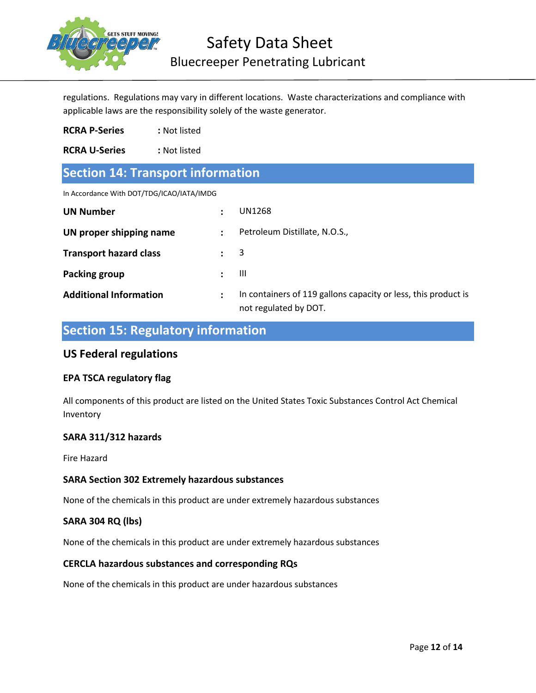

regulations. Regulations may vary in different locations. Waste characterizations and compliance with applicable laws are the responsibility solely of the waste generator.

RCRA P-Series : Not listed

RCRA U-Series : Not listed

# Section 14: Transport information

In Accordance With DOT/TDG/ICAO/IATA/IMDG

| UN Number                     |   | UN1268                                                                                  |
|-------------------------------|---|-----------------------------------------------------------------------------------------|
| UN proper shipping name       |   | Petroleum Distillate, N.O.S.,                                                           |
| <b>Transport hazard class</b> |   | $\overline{\mathbf{3}}$                                                                 |
| Packing group                 |   | Ш                                                                                       |
| <b>Additional Information</b> | : | In containers of 119 gallons capacity or less, this product is<br>not regulated by DOT. |

# Section 15: Regulatory information

#### US Federal regulations

#### EPA TSCA regulatory flag

All components of this product are listed on the United States Toxic Substances Control Act Chemical Inventory

#### SARA 311/312 hazards

Fire Hazard

#### SARA Section 302 Extremely hazardous substances

None of the chemicals in this product are under extremely hazardous substances

#### SARA 304 RQ (lbs)

None of the chemicals in this product are under extremely hazardous substances

#### CERCLA hazardous substances and corresponding RQs

None of the chemicals in this product are under hazardous substances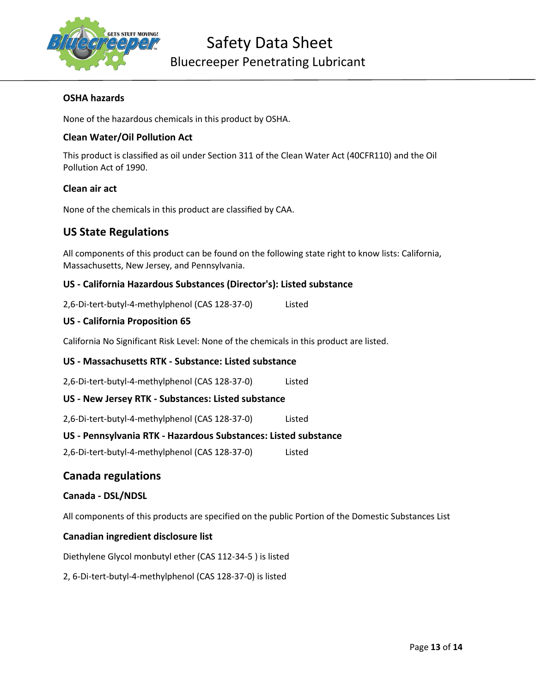

#### OSHA hazards

None of the hazardous chemicals in this product by OSHA.

#### Clean Water/Oil Pollution Act

This product is classified as oil under Section 311 of the Clean Water Act (40CFR110) and the Oil Pollution Act of 1990.

#### Clean air act

None of the chemicals in this product are classified by CAA.

#### US State Regulations

All components of this product can be found on the following state right to know lists: California, Massachusetts, New Jersey, and Pennsylvania.

#### US - California Hazardous Substances (Director's): Listed substance

2,6-Di-tert-butyl-4-methylphenol (CAS 128-37-0) Listed

#### US - California Proposition 65

California No Significant Risk Level: None of the chemicals in this product are listed.

#### US - Massachusetts RTK - Substance: Listed substance

2,6-Di-tert-butyl-4-methylphenol (CAS 128-37-0) Listed

#### US - New Jersey RTK - Substances: Listed substance

2,6-Di-tert-butyl-4-methylphenol (CAS 128-37-0) Listed

#### US - Pennsylvania RTK - Hazardous Substances: Listed substance

2,6-Di-tert-butyl-4-methylphenol (CAS 128-37-0) Listed

#### Canada regulations

#### Canada - DSL/NDSL

All components of this products are specified on the public Portion of the Domestic Substances List

#### Canadian ingredient disclosure list

Diethylene Glycol monbutyl ether (CAS 112-34-5 ) is listed

2, 6-Di-tert-butyl-4-methylphenol (CAS 128-37-0) is listed